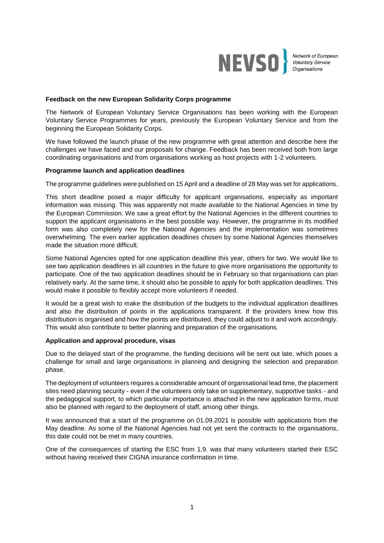

Network of European<br>Voluntary Service<br>Organisations

### **Feedback on the new European Solidarity Corps programme**

The Network of European Voluntary Service Organisations has been working with the European Voluntary Service Programmes for years, previously the European Voluntary Service and from the beginning the European Solidarity Corps.

We have followed the launch phase of the new programme with great attention and describe here the challenges we have faced and our proposals for change. Feedback has been received both from large coordinating organisations and from organisations working as host projects with 1-2 volunteers.

### **Programme launch and application deadlines**

The programme guidelines were published on 15 April and a deadline of 28 May was set for applications.

This short deadline posed a major difficulty for applicant organisations, especially as important information was missing. This was apparently not made available to the National Agencies in time by the European Commission. We saw a great effort by the National Agencies in the different countries to support the applicant organisations in the best possible way. However, the programme in its modified form was also completely new for the National Agencies and the implementation was sometimes overwhelming. The even earlier application deadlines chosen by some National Agencies themselves made the situation more difficult.

Some National Agencies opted for one application deadline this year, others for two. We would like to see two application deadlines in all countries in the future to give more organisations the opportunity to participate. One of the two application deadlines should be in February so that organisations can plan relatively early. At the same time, it should also be possible to apply for both application deadlines. This would make it possible to flexibly accept more volunteers if needed.

It would be a great wish to make the distribution of the budgets to the individual application deadlines and also the distribution of points in the applications transparent. If the providers knew how this distribution is organised and how the points are distributed, they could adjust to it and work accordingly. This would also contribute to better planning and preparation of the organisations.

### **Application and approval procedure, visas**

Due to the delayed start of the programme, the funding decisions will be sent out late, which poses a challenge for small and large organisations in planning and designing the selection and preparation phase.

The deployment of volunteers requires a considerable amount of organisational lead time, the placement sites need planning security - even if the volunteers only take on supplementary, supportive tasks - and the pedagogical support, to which particular importance is attached in the new application forms, must also be planned with regard to the deployment of staff, among other things.

It was announced that a start of the programme on 01.09.2021 is possible with applications from the May deadline. As some of the National Agencies had not yet sent the contracts to the organisations, this date could not be met in many countries.

One of the consequences of starting the ESC from 1.9. was that many volunteers started their ESC without having received their CIGNA insurance confirmation in time.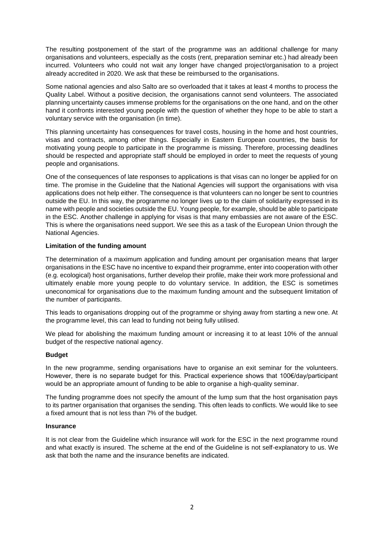The resulting postponement of the start of the programme was an additional challenge for many organisations and volunteers, especially as the costs (rent, preparation seminar etc.) had already been incurred. Volunteers who could not wait any longer have changed project/organisation to a project already accredited in 2020. We ask that these be reimbursed to the organisations.

Some national agencies and also Salto are so overloaded that it takes at least 4 months to process the Quality Label. Without a positive decision, the organisations cannot send volunteers. The associated planning uncertainty causes immense problems for the organisations on the one hand, and on the other hand it confronts interested young people with the question of whether they hope to be able to start a voluntary service with the organisation (in time).

This planning uncertainty has consequences for travel costs, housing in the home and host countries, visas and contracts, among other things. Especially in Eastern European countries, the basis for motivating young people to participate in the programme is missing. Therefore, processing deadlines should be respected and appropriate staff should be employed in order to meet the requests of young people and organisations.

One of the consequences of late responses to applications is that visas can no longer be applied for on time. The promise in the Guideline that the National Agencies will support the organisations with visa applications does not help either. The consequence is that volunteers can no longer be sent to countries outside the EU. In this way, the programme no longer lives up to the claim of solidarity expressed in its name with people and societies outside the EU. Young people, for example, should be able to participate in the ESC. Another challenge in applying for visas is that many embassies are not aware of the ESC. This is where the organisations need support. We see this as a task of the European Union through the National Agencies.

# **Limitation of the funding amount**

The determination of a maximum application and funding amount per organisation means that larger organisations in the ESC have no incentive to expand their programme, enter into cooperation with other (e.g. ecological) host organisations, further develop their profile, make their work more professional and ultimately enable more young people to do voluntary service. In addition, the ESC is sometimes uneconomical for organisations due to the maximum funding amount and the subsequent limitation of the number of participants.

This leads to organisations dropping out of the programme or shying away from starting a new one. At the programme level, this can lead to funding not being fully utilised.

We plead for abolishing the maximum funding amount or increasing it to at least 10% of the annual budget of the respective national agency.

## **Budget**

In the new programme, sending organisations have to organise an exit seminar for the volunteers. However, there is no separate budget for this. Practical experience shows that 100€/day/participant would be an appropriate amount of funding to be able to organise a high-quality seminar.

The funding programme does not specify the amount of the lump sum that the host organisation pays to its partner organisation that organises the sending. This often leads to conflicts. We would like to see a fixed amount that is not less than 7% of the budget.

## **Insurance**

It is not clear from the Guideline which insurance will work for the ESC in the next programme round and what exactly is insured. The scheme at the end of the Guideline is not self-explanatory to us. We ask that both the name and the insurance benefits are indicated.